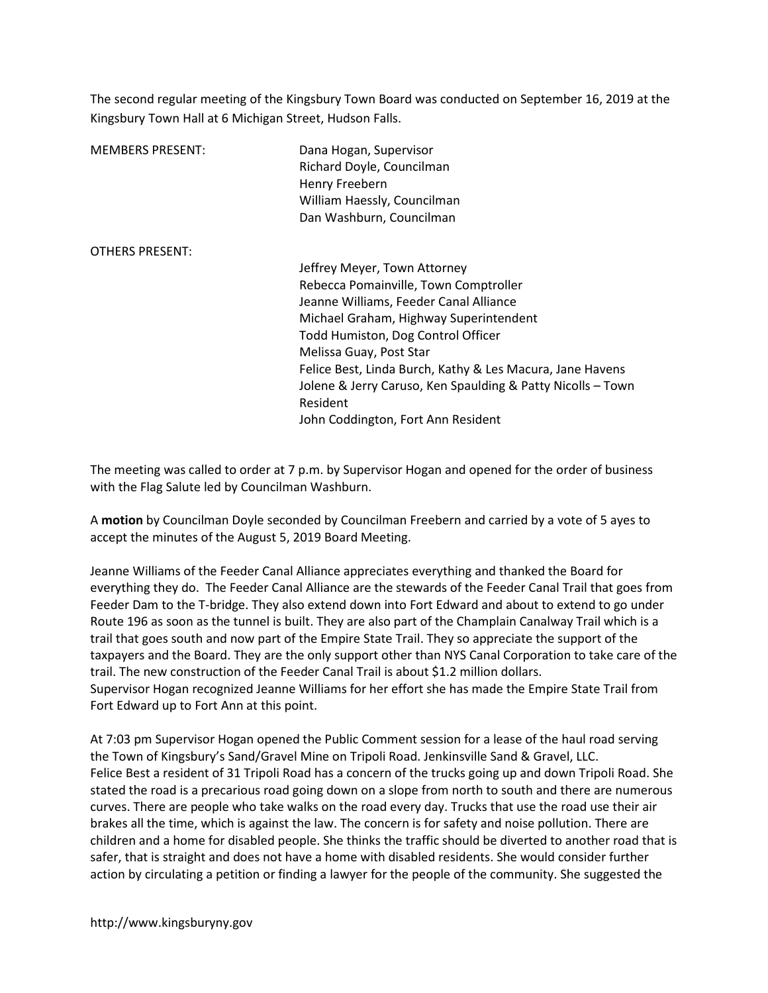The second regular meeting of the Kingsbury Town Board was conducted on September 16, 2019 at the Kingsbury Town Hall at 6 Michigan Street, Hudson Falls.

| <b>MEMBERS PRESENT:</b> | Dana Hogan, Supervisor<br>Richard Doyle, Councilman<br>Henry Freebern<br>William Haessly, Councilman<br>Dan Washburn, Councilman |
|-------------------------|----------------------------------------------------------------------------------------------------------------------------------|
| <b>OTHERS PRESENT:</b>  |                                                                                                                                  |
|                         | Jeffrey Meyer, Town Attorney                                                                                                     |
|                         | Rebecca Pomainville, Town Comptroller                                                                                            |
|                         | Jeanne Williams, Feeder Canal Alliance                                                                                           |
|                         | Michael Graham, Highway Superintendent                                                                                           |
|                         | Todd Humiston, Dog Control Officer                                                                                               |
|                         | Melissa Guay, Post Star                                                                                                          |
|                         | Felice Best, Linda Burch, Kathy & Les Macura, Jane Havens                                                                        |
|                         | Jolene & Jerry Caruso, Ken Spaulding & Patty Nicolls - Town                                                                      |
|                         | Resident                                                                                                                         |
|                         | John Coddington, Fort Ann Resident                                                                                               |

The meeting was called to order at 7 p.m. by Supervisor Hogan and opened for the order of business with the Flag Salute led by Councilman Washburn.

A motion by Councilman Doyle seconded by Councilman Freebern and carried by a vote of 5 ayes to accept the minutes of the August 5, 2019 Board Meeting.

Jeanne Williams of the Feeder Canal Alliance appreciates everything and thanked the Board for everything they do. The Feeder Canal Alliance are the stewards of the Feeder Canal Trail that goes from Feeder Dam to the T-bridge. They also extend down into Fort Edward and about to extend to go under Route 196 as soon as the tunnel is built. They are also part of the Champlain Canalway Trail which is a trail that goes south and now part of the Empire State Trail. They so appreciate the support of the taxpayers and the Board. They are the only support other than NYS Canal Corporation to take care of the trail. The new construction of the Feeder Canal Trail is about \$1.2 million dollars. Supervisor Hogan recognized Jeanne Williams for her effort she has made the Empire State Trail from Fort Edward up to Fort Ann at this point.

At 7:03 pm Supervisor Hogan opened the Public Comment session for a lease of the haul road serving the Town of Kingsbury's Sand/Gravel Mine on Tripoli Road. Jenkinsville Sand & Gravel, LLC. Felice Best a resident of 31 Tripoli Road has a concern of the trucks going up and down Tripoli Road. She stated the road is a precarious road going down on a slope from north to south and there are numerous curves. There are people who take walks on the road every day. Trucks that use the road use their air brakes all the time, which is against the law. The concern is for safety and noise pollution. There are children and a home for disabled people. She thinks the traffic should be diverted to another road that is safer, that is straight and does not have a home with disabled residents. She would consider further action by circulating a petition or finding a lawyer for the people of the community. She suggested the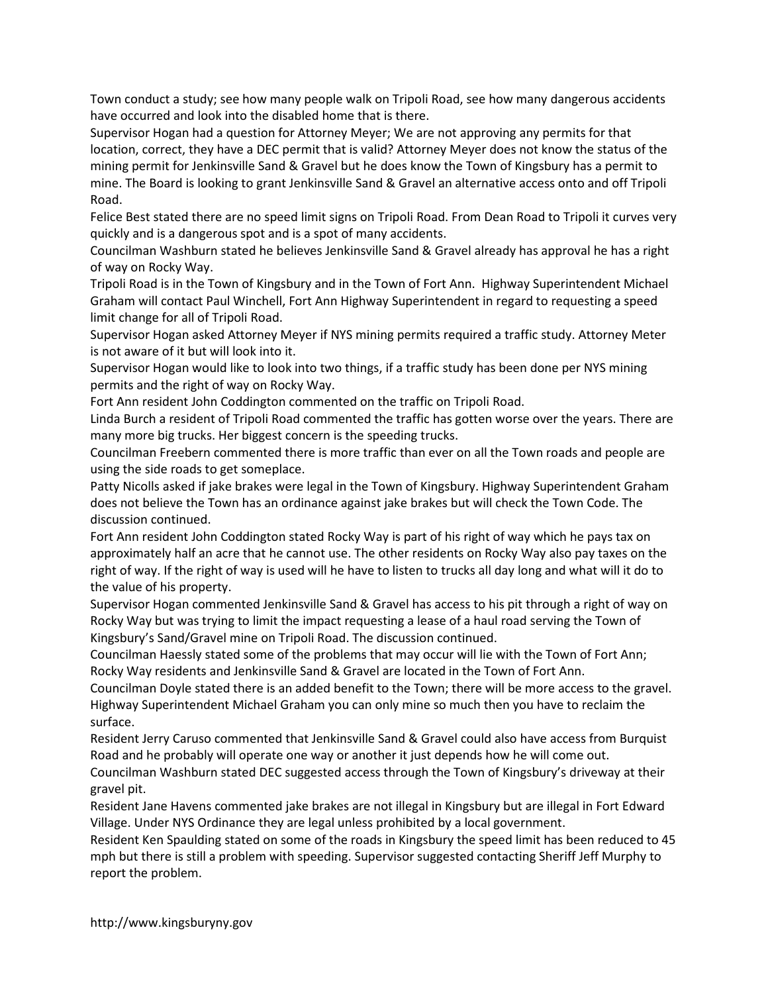Town conduct a study; see how many people walk on Tripoli Road, see how many dangerous accidents have occurred and look into the disabled home that is there.

Supervisor Hogan had a question for Attorney Meyer; We are not approving any permits for that location, correct, they have a DEC permit that is valid? Attorney Meyer does not know the status of the mining permit for Jenkinsville Sand & Gravel but he does know the Town of Kingsbury has a permit to mine. The Board is looking to grant Jenkinsville Sand & Gravel an alternative access onto and off Tripoli Road.

Felice Best stated there are no speed limit signs on Tripoli Road. From Dean Road to Tripoli it curves very quickly and is a dangerous spot and is a spot of many accidents.

Councilman Washburn stated he believes Jenkinsville Sand & Gravel already has approval he has a right of way on Rocky Way.

Tripoli Road is in the Town of Kingsbury and in the Town of Fort Ann. Highway Superintendent Michael Graham will contact Paul Winchell, Fort Ann Highway Superintendent in regard to requesting a speed limit change for all of Tripoli Road.

Supervisor Hogan asked Attorney Meyer if NYS mining permits required a traffic study. Attorney Meter is not aware of it but will look into it.

Supervisor Hogan would like to look into two things, if a traffic study has been done per NYS mining permits and the right of way on Rocky Way.

Fort Ann resident John Coddington commented on the traffic on Tripoli Road.

Linda Burch a resident of Tripoli Road commented the traffic has gotten worse over the years. There are many more big trucks. Her biggest concern is the speeding trucks.

Councilman Freebern commented there is more traffic than ever on all the Town roads and people are using the side roads to get someplace.

Patty Nicolls asked if jake brakes were legal in the Town of Kingsbury. Highway Superintendent Graham does not believe the Town has an ordinance against jake brakes but will check the Town Code. The discussion continued.

Fort Ann resident John Coddington stated Rocky Way is part of his right of way which he pays tax on approximately half an acre that he cannot use. The other residents on Rocky Way also pay taxes on the right of way. If the right of way is used will he have to listen to trucks all day long and what will it do to the value of his property.

Supervisor Hogan commented Jenkinsville Sand & Gravel has access to his pit through a right of way on Rocky Way but was trying to limit the impact requesting a lease of a haul road serving the Town of Kingsbury's Sand/Gravel mine on Tripoli Road. The discussion continued.

Councilman Haessly stated some of the problems that may occur will lie with the Town of Fort Ann; Rocky Way residents and Jenkinsville Sand & Gravel are located in the Town of Fort Ann.

Councilman Doyle stated there is an added benefit to the Town; there will be more access to the gravel. Highway Superintendent Michael Graham you can only mine so much then you have to reclaim the surface.

Resident Jerry Caruso commented that Jenkinsville Sand & Gravel could also have access from Burquist Road and he probably will operate one way or another it just depends how he will come out.

Councilman Washburn stated DEC suggested access through the Town of Kingsbury's driveway at their gravel pit.

Resident Jane Havens commented jake brakes are not illegal in Kingsbury but are illegal in Fort Edward Village. Under NYS Ordinance they are legal unless prohibited by a local government.

Resident Ken Spaulding stated on some of the roads in Kingsbury the speed limit has been reduced to 45 mph but there is still a problem with speeding. Supervisor suggested contacting Sheriff Jeff Murphy to report the problem.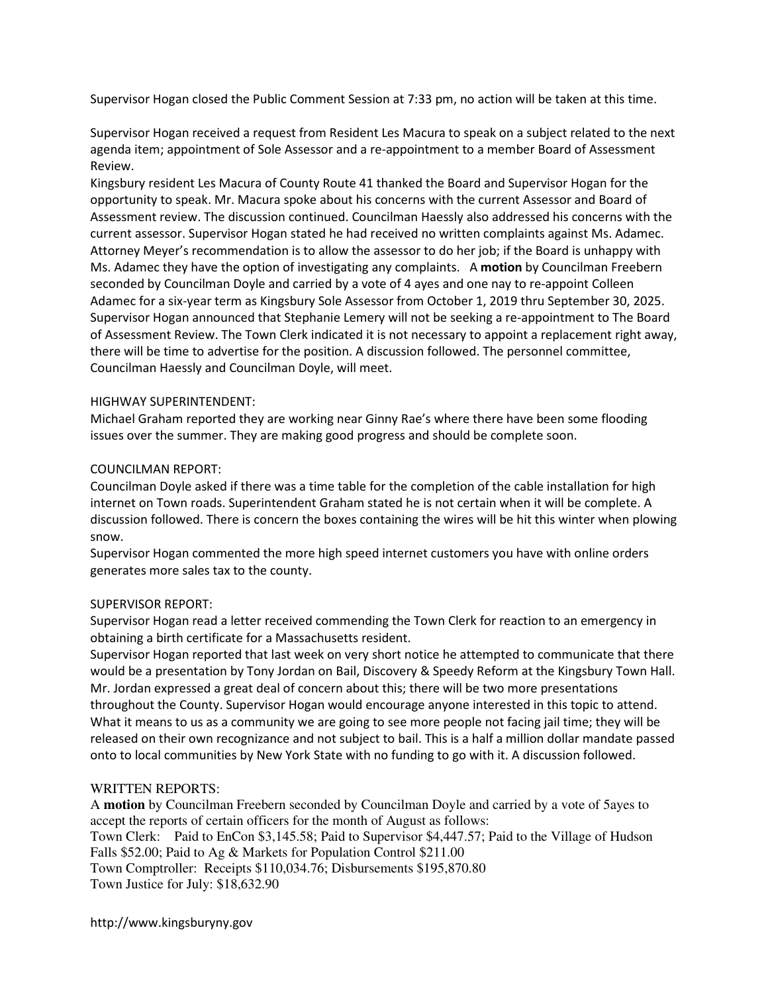Supervisor Hogan closed the Public Comment Session at 7:33 pm, no action will be taken at this time.

Supervisor Hogan received a request from Resident Les Macura to speak on a subject related to the next agenda item; appointment of Sole Assessor and a re-appointment to a member Board of Assessment Review.

Kingsbury resident Les Macura of County Route 41 thanked the Board and Supervisor Hogan for the opportunity to speak. Mr. Macura spoke about his concerns with the current Assessor and Board of Assessment review. The discussion continued. Councilman Haessly also addressed his concerns with the current assessor. Supervisor Hogan stated he had received no written complaints against Ms. Adamec. Attorney Meyer's recommendation is to allow the assessor to do her job; if the Board is unhappy with Ms. Adamec they have the option of investigating any complaints. A motion by Councilman Freebern seconded by Councilman Doyle and carried by a vote of 4 ayes and one nay to re-appoint Colleen Adamec for a six-year term as Kingsbury Sole Assessor from October 1, 2019 thru September 30, 2025. Supervisor Hogan announced that Stephanie Lemery will not be seeking a re-appointment to The Board of Assessment Review. The Town Clerk indicated it is not necessary to appoint a replacement right away, there will be time to advertise for the position. A discussion followed. The personnel committee, Councilman Haessly and Councilman Doyle, will meet.

### HIGHWAY SUPERINTENDENT:

Michael Graham reported they are working near Ginny Rae's where there have been some flooding issues over the summer. They are making good progress and should be complete soon.

### COUNCILMAN REPORT:

Councilman Doyle asked if there was a time table for the completion of the cable installation for high internet on Town roads. Superintendent Graham stated he is not certain when it will be complete. A discussion followed. There is concern the boxes containing the wires will be hit this winter when plowing snow.

Supervisor Hogan commented the more high speed internet customers you have with online orders generates more sales tax to the county.

## SUPERVISOR REPORT:

Supervisor Hogan read a letter received commending the Town Clerk for reaction to an emergency in obtaining a birth certificate for a Massachusetts resident.

Supervisor Hogan reported that last week on very short notice he attempted to communicate that there would be a presentation by Tony Jordan on Bail, Discovery & Speedy Reform at the Kingsbury Town Hall. Mr. Jordan expressed a great deal of concern about this; there will be two more presentations throughout the County. Supervisor Hogan would encourage anyone interested in this topic to attend. What it means to us as a community we are going to see more people not facing jail time; they will be released on their own recognizance and not subject to bail. This is a half a million dollar mandate passed onto to local communities by New York State with no funding to go with it. A discussion followed.

## WRITTEN REPORTS:

A **motion** by Councilman Freebern seconded by Councilman Doyle and carried by a vote of 5ayes to accept the reports of certain officers for the month of August as follows: Town Clerk: Paid to EnCon \$3,145.58; Paid to Supervisor \$4,447.57; Paid to the Village of Hudson Falls \$52.00; Paid to Ag & Markets for Population Control \$211.00 Town Comptroller: Receipts \$110,034.76; Disbursements \$195,870.80 Town Justice for July: \$18,632.90